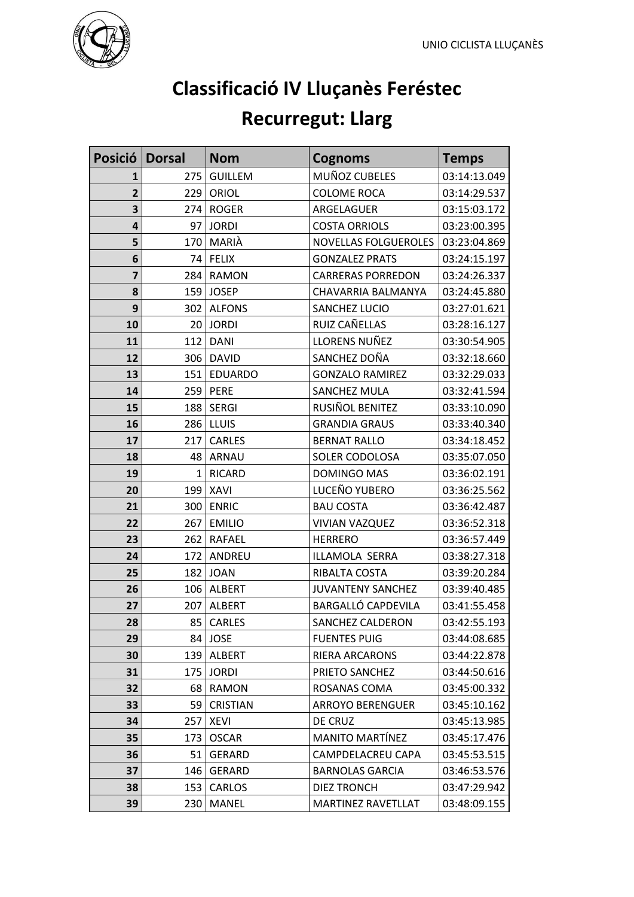

## **Classificació IV Lluçanès Feréstec Recurregut: Llarg**

| Posició Dorsal          |              | <b>Nom</b>      | <b>Cognoms</b>            | <b>Temps</b> |
|-------------------------|--------------|-----------------|---------------------------|--------------|
| 1                       | 275          | <b>GUILLEM</b>  | MUÑOZ CUBELES             | 03:14:13.049 |
| $\overline{\mathbf{2}}$ | 229          | ORIOL           | <b>COLOME ROCA</b>        | 03:14:29.537 |
| 3                       | 274          | <b>ROGER</b>    | ARGELAGUER                | 03:15:03.172 |
| $\overline{\mathbf{a}}$ | 97           | <b>JORDI</b>    | <b>COSTA ORRIOLS</b>      | 03:23:00.395 |
| 5                       | 170          | MARIÀ           | NOVELLAS FOLGUEROLES      | 03:23:04.869 |
| 6                       |              | 74 FELIX        | <b>GONZALEZ PRATS</b>     | 03:24:15.197 |
| $\overline{\mathbf{z}}$ | 284          | <b>RAMON</b>    | <b>CARRERAS PORREDON</b>  | 03:24:26.337 |
| 8                       | 159          | <b>JOSEP</b>    | CHAVARRIA BALMANYA        | 03:24:45.880 |
| 9                       | 302          | <b>ALFONS</b>   | SANCHEZ LUCIO             | 03:27:01.621 |
| 10                      | 20           | <b>JORDI</b>    | RUIZ CAÑELLAS             | 03:28:16.127 |
| 11                      | 112          | <b>DANI</b>     | LLORENS NUÑEZ             | 03:30:54.905 |
| 12                      | 306          | <b>DAVID</b>    | SANCHEZ DOÑA              | 03:32:18.660 |
| 13                      | 151          | <b>EDUARDO</b>  | <b>GONZALO RAMIREZ</b>    | 03:32:29.033 |
| 14                      | 259          | PERE            | SANCHEZ MULA              | 03:32:41.594 |
| 15                      | 188          | <b>SERGI</b>    | RUSIÑOL BENITEZ           | 03:33:10.090 |
| 16                      | 286          | <b>LLUIS</b>    | <b>GRANDIA GRAUS</b>      | 03:33:40.340 |
| 17                      | 217          | <b>CARLES</b>   | <b>BERNAT RALLO</b>       | 03:34:18.452 |
| 18                      | 48           | ARNAU           | SOLER CODOLOSA            | 03:35:07.050 |
| 19                      | $\mathbf{1}$ | <b>RICARD</b>   | <b>DOMINGO MAS</b>        | 03:36:02.191 |
| 20                      | 199          | <b>XAVI</b>     | LUCEÑO YUBERO             | 03:36:25.562 |
| 21                      | 300          | <b>ENRIC</b>    | <b>BAU COSTA</b>          | 03:36:42.487 |
| 22                      | 267          | <b>EMILIO</b>   | <b>VIVIAN VAZQUEZ</b>     | 03:36:52.318 |
| 23                      | 262          | <b>RAFAEL</b>   | <b>HERRERO</b>            | 03:36:57.449 |
| 24                      | 172          | ANDREU          | ILLAMOLA SERRA            | 03:38:27.318 |
| 25                      | 182          | <b>JOAN</b>     | RIBALTA COSTA             | 03:39:20.284 |
| 26                      | 106          | <b>ALBERT</b>   | JUVANTENY SANCHEZ         | 03:39:40.485 |
| 27                      | 207          | <b>ALBERT</b>   | <b>BARGALLÓ CAPDEVILA</b> | 03:41:55.458 |
| 28                      | 85 l         | <b>CARLES</b>   | <b>SANCHEZ CALDERON</b>   | 03:42:55.193 |
| 29                      |              | 84 JOSE         | <b>FUENTES PUIG</b>       | 03:44:08.685 |
| 30                      | 139          | <b>ALBERT</b>   | <b>RIERA ARCARONS</b>     | 03:44:22.878 |
| 31                      | 175          | <b>JORDI</b>    | PRIETO SANCHEZ            | 03:44:50.616 |
| 32                      | 68           | <b>RAMON</b>    | ROSANAS COMA              | 03:45:00.332 |
| 33                      | 59           | <b>CRISTIAN</b> | <b>ARROYO BERENGUER</b>   | 03:45:10.162 |
| 34                      | 257          | XEVI            | DE CRUZ                   | 03:45:13.985 |
| 35                      | 173          | <b>OSCAR</b>    | <b>MANITO MARTÍNEZ</b>    | 03:45:17.476 |
| 36                      | 51           | <b>GERARD</b>   | CAMPDELACREU CAPA         | 03:45:53.515 |
| 37                      | 146          | <b>GERARD</b>   | <b>BARNOLAS GARCIA</b>    | 03:46:53.576 |
| 38                      | 153          | <b>CARLOS</b>   | DIEZ TRONCH               | 03:47:29.942 |
| 39                      | 230          | MANEL           | <b>MARTINEZ RAVETLLAT</b> | 03:48:09.155 |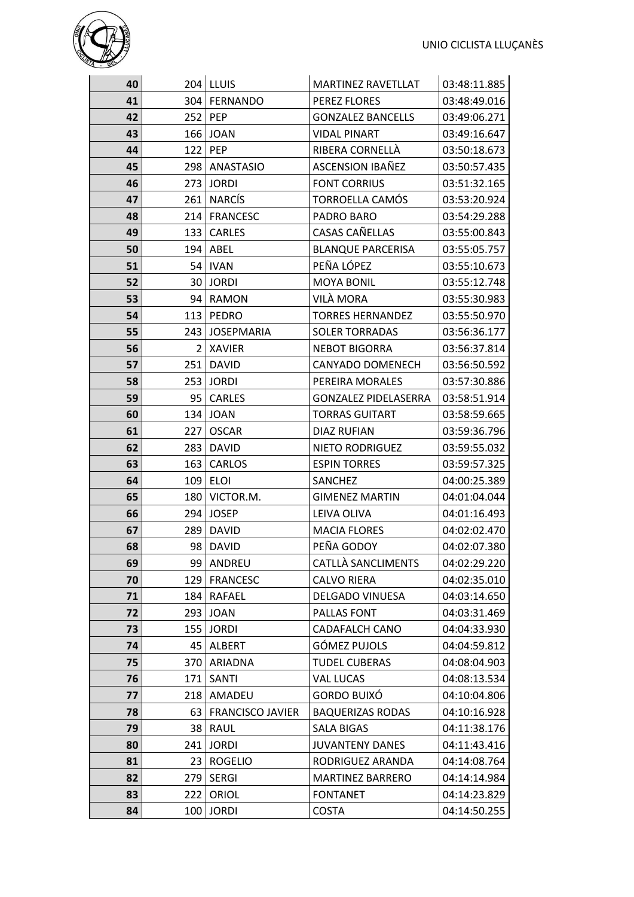

| 40 |                 | $204$ LLUIS             | <b>MARTINEZ RAVETLLAT</b>   | 03:48:11.885 |
|----|-----------------|-------------------------|-----------------------------|--------------|
| 41 |                 | 304   FERNANDO          | PEREZ FLORES                | 03:48:49.016 |
| 42 |                 | $252$ PEP               | <b>GONZALEZ BANCELLS</b>    | 03:49:06.271 |
| 43 |                 | 166 JOAN                | <b>VIDAL PINART</b>         | 03:49:16.647 |
| 44 |                 | $122$ PEP               | RIBERA CORNELLÀ             | 03:50:18.673 |
| 45 |                 | 298   ANASTASIO         | ASCENSION IBAÑEZ            | 03:50:57.435 |
| 46 |                 | 273 JORDI               | <b>FONT CORRIUS</b>         | 03:51:32.165 |
| 47 |                 | 261 NARCÍS              | TORROELLA CAMÓS             | 03:53:20.924 |
| 48 | 214             | <b>FRANCESC</b>         | PADRO BARO                  | 03:54:29.288 |
| 49 |                 | 133   CARLES            | CASAS CAÑELLAS              | 03:55:00.843 |
| 50 |                 | 194 ABEL                | <b>BLANQUE PARCERISA</b>    | 03:55:05.757 |
| 51 |                 | 54   IVAN               | PEÑA LÓPEZ                  | 03:55:10.673 |
| 52 | 30 <sub>1</sub> | <b>JORDI</b>            | <b>MOYA BONIL</b>           | 03:55:12.748 |
| 53 | 94              | <b>RAMON</b>            | VILÀ MORA                   | 03:55:30.983 |
| 54 | 113             | PEDRO                   | <b>TORRES HERNANDEZ</b>     | 03:55:50.970 |
| 55 |                 | 243 JOSEPMARIA          | <b>SOLER TORRADAS</b>       | 03:56:36.177 |
| 56 |                 | 2   XAVIER              | <b>NEBOT BIGORRA</b>        | 03:56:37.814 |
| 57 | 251             | <b>DAVID</b>            | <b>CANYADO DOMENECH</b>     | 03:56:50.592 |
| 58 |                 | 253 JORDI               | PEREIRA MORALES             | 03:57:30.886 |
| 59 |                 | 95   CARLES             | <b>GONZALEZ PIDELASERRA</b> | 03:58:51.914 |
| 60 |                 | 134   JOAN              | <b>TORRAS GUITART</b>       | 03:58:59.665 |
| 61 | 227             | <b>OSCAR</b>            | DIAZ RUFIAN                 | 03:59:36.796 |
| 62 |                 | 283   DAVID             | NIETO RODRIGUEZ             | 03:59:55.032 |
| 63 | 163             | CARLOS                  | <b>ESPIN TORRES</b>         | 03:59:57.325 |
| 64 |                 | $109$ ELOI              | SANCHEZ                     | 04:00:25.389 |
| 65 |                 | 180   VICTOR.M.         | <b>GIMENEZ MARTIN</b>       | 04:01:04.044 |
| 66 |                 | 294 JOSEP               | LEIVA OLIVA                 | 04:01:16.493 |
| 67 |                 | 289   DAVID             | <b>MACIA FLORES</b>         | 04:02:02.470 |
| 68 |                 | 98 DAVID                | PEÑA GODOY                  | 04:02:07.380 |
| 69 |                 | 99   ANDREU             | CATLLÀ SANCLIMENTS          | 04:02:29.220 |
| 70 | 129             | <b>FRANCESC</b>         | <b>CALVO RIERA</b>          | 04:02:35.010 |
| 71 | 184             | <b>RAFAEL</b>           | DELGADO VINUESA             | 04:03:14.650 |
| 72 | 293             | <b>JOAN</b>             | PALLAS FONT                 | 04:03:31.469 |
| 73 |                 | $155$ JORDI             | <b>CADAFALCH CANO</b>       | 04:04:33.930 |
| 74 |                 | 45   ALBERT             | <b>GÓMEZ PUJOLS</b>         | 04:04:59.812 |
| 75 | 370             | ARIADNA                 | <b>TUDEL CUBERAS</b>        | 04:08:04.903 |
| 76 | 171             | SANTI                   | <b>VAL LUCAS</b>            | 04:08:13.534 |
| 77 | 218             | AMADEU                  | <b>GORDO BUIXÓ</b>          | 04:10:04.806 |
| 78 | 63              | <b>FRANCISCO JAVIER</b> | <b>BAQUERIZAS RODAS</b>     | 04:10:16.928 |
| 79 | 38              | RAUL                    | SALA BIGAS                  | 04:11:38.176 |
| 80 | 241             | <b>JORDI</b>            | <b>JUVANTENY DANES</b>      | 04:11:43.416 |
| 81 | 23              | <b>ROGELIO</b>          | RODRIGUEZ ARANDA            | 04:14:08.764 |
| 82 | 279             | <b>SERGI</b>            | <b>MARTINEZ BARRERO</b>     | 04:14:14.984 |
| 83 | 222             | ORIOL                   | <b>FONTANET</b>             | 04:14:23.829 |
| 84 |                 | $100$ JORDI             | <b>COSTA</b>                | 04:14:50.255 |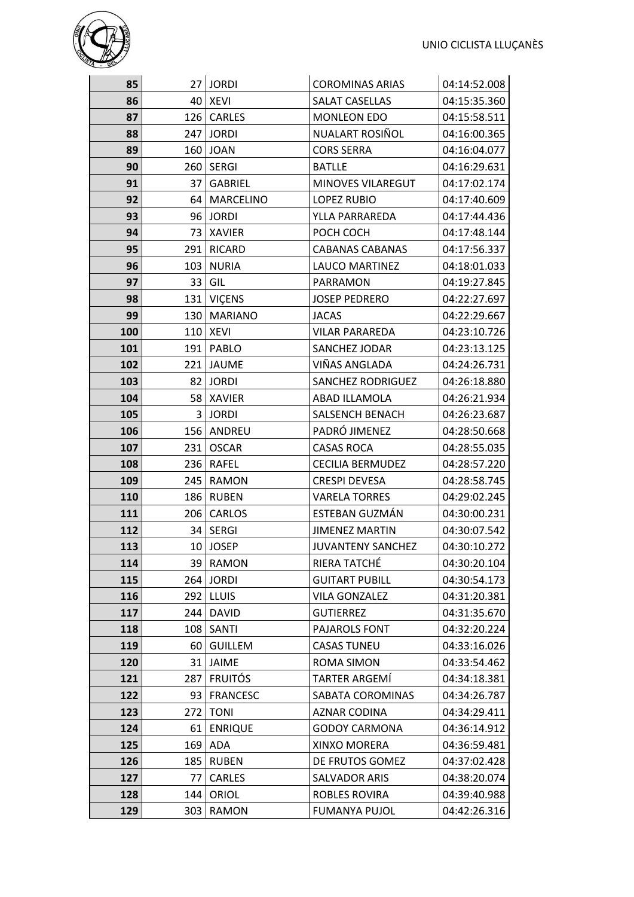

| 85  |                  | 27 JORDI         | <b>COROMINAS ARIAS</b>   | 04:14:52.008 |
|-----|------------------|------------------|--------------------------|--------------|
| 86  | 40 l             | <b>XEVI</b>      | <b>SALAT CASELLAS</b>    | 04:15:35.360 |
| 87  | 126              | <b>CARLES</b>    | <b>MONLEON EDO</b>       | 04:15:58.511 |
| 88  | 247              | <b>JORDI</b>     | NUALART ROSIÑOL          | 04:16:00.365 |
| 89  |                  | 160   JOAN       | <b>CORS SERRA</b>        | 04:16:04.077 |
| 90  |                  | 260   SERGI      | <b>BATLLE</b>            | 04:16:29.631 |
| 91  | 37 I             | <b>GABRIEL</b>   | MINOVES VILAREGUT        | 04:17:02.174 |
| 92  | 64 I             | <b>MARCELINO</b> | LOPEZ RUBIO              | 04:17:40.609 |
| 93  | 96 l             | <b>JORDI</b>     | YLLA PARRAREDA           | 04:17:44.436 |
| 94  | 73 <sub>1</sub>  | <b>XAVIER</b>    | POCH COCH                | 04:17:48.144 |
| 95  | 291              | <b>RICARD</b>    | <b>CABANAS CABANAS</b>   | 04:17:56.337 |
| 96  | 103              | <b>NURIA</b>     | LAUCO MARTINEZ           | 04:18:01.033 |
| 97  | 33               | GIL              | PARRAMON                 | 04:19:27.845 |
| 98  | 131              | <b>VICENS</b>    | <b>JOSEP PEDRERO</b>     | 04:22:27.697 |
| 99  | 130              | <b>MARIANO</b>   | <b>JACAS</b>             | 04:22:29.667 |
| 100 |                  | 110 XEVI         | <b>VILAR PARAREDA</b>    | 04:23:10.726 |
| 101 | 191              | <b>PABLO</b>     | SANCHEZ JODAR            | 04:23:13.125 |
| 102 |                  | 221 JAUME        | VIÑAS ANGLADA            | 04:24:26.731 |
| 103 |                  | 82 JORDI         | <b>SANCHEZ RODRIGUEZ</b> | 04:26:18.880 |
| 104 | 58               | <b>XAVIER</b>    | ABAD ILLAMOLA            | 04:26:21.934 |
| 105 |                  | 3 JORDI          | SALSENCH BENACH          | 04:26:23.687 |
| 106 | 156              | <b>ANDREU</b>    | PADRÓ JIMENEZ            | 04:28:50.668 |
| 107 | 231              | <b>OSCAR</b>     | <b>CASAS ROCA</b>        | 04:28:55.035 |
| 108 |                  | 236   RAFEL      | <b>CECILIA BERMUDEZ</b>  | 04:28:57.220 |
| 109 | 245              | <b>RAMON</b>     | <b>CRESPI DEVESA</b>     | 04:28:58.745 |
| 110 | 186              | <b>RUBEN</b>     | <b>VARELA TORRES</b>     | 04:29:02.245 |
| 111 | 206              | <b>CARLOS</b>    | ESTEBAN GUZMÁN           | 04:30:00.231 |
| 112 |                  | 34   SERGI       | <b>JIMENEZ MARTIN</b>    | 04:30:07.542 |
| 113 |                  | 10 JOSEP         | <b>JUVANTENY SANCHEZ</b> | 04:30:10.272 |
| 114 |                  | 39 RAMON         | RIERA TATCHÉ             | 04:30:20.104 |
| 115 |                  | 264 JORDI        | <b>GUITART PUBILL</b>    | 04:30:54.173 |
| 116 | 2921             | <b>LLUIS</b>     | <b>VILA GONZALEZ</b>     | 04:31:20.381 |
| 117 | 244              | <b>DAVID</b>     | <b>GUTIERREZ</b>         | 04:31:35.670 |
| 118 | 108 <sub>1</sub> | SANTI            | PAJAROLS FONT            | 04:32:20.224 |
| 119 | 60               | <b>GUILLEM</b>   | <b>CASAS TUNEU</b>       | 04:33:16.026 |
| 120 | 31               | JAIME            | ROMA SIMON               | 04:33:54.462 |
| 121 | 287              | <b>FRUITÓS</b>   | <b>TARTER ARGEMÍ</b>     | 04:34:18.381 |
| 122 | 93               | <b>FRANCESC</b>  | SABATA COROMINAS         | 04:34:26.787 |
| 123 | 272              | <b>TONI</b>      | AZNAR CODINA             | 04:34:29.411 |
| 124 | 61               | <b>ENRIQUE</b>   | <b>GODOY CARMONA</b>     | 04:36:14.912 |
| 125 | 169              | ADA              | XINXO MORERA             | 04:36:59.481 |
| 126 | 185              | <b>RUBEN</b>     | DE FRUTOS GOMEZ          | 04:37:02.428 |
| 127 | 77               | <b>CARLES</b>    | <b>SALVADOR ARIS</b>     | 04:38:20.074 |
| 128 | 144              | ORIOL            | ROBLES ROVIRA            | 04:39:40.988 |
| 129 | 303              | RAMON            | <b>FUMANYA PUJOL</b>     | 04:42:26.316 |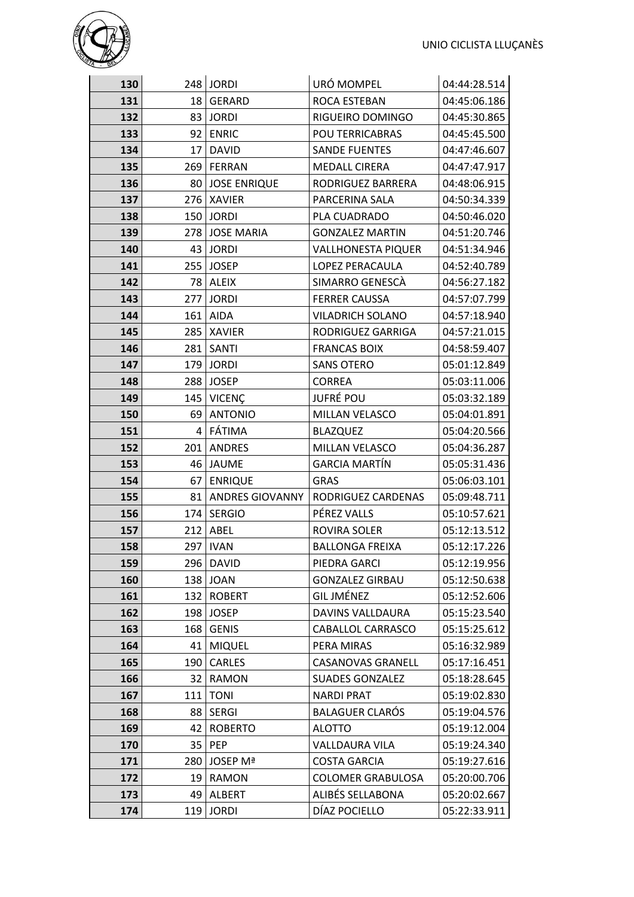

| 130 |                 | 248 JORDI              | URÓ MOMPEL                | 04:44:28.514 |
|-----|-----------------|------------------------|---------------------------|--------------|
| 131 | 18 <sup>1</sup> | <b>GERARD</b>          | ROCA ESTEBAN              | 04:45:06.186 |
| 132 | 83              | <b>JORDI</b>           | RIGUEIRO DOMINGO          | 04:45:30.865 |
| 133 | 92              | <b>ENRIC</b>           | POU TERRICABRAS           | 04:45:45.500 |
| 134 | 17 <sup>1</sup> | <b>DAVID</b>           | <b>SANDE FUENTES</b>      | 04:47:46.607 |
| 135 | 269             | FERRAN                 | <b>MEDALL CIRERA</b>      | 04:47:47.917 |
| 136 | 80 <sub>1</sub> | <b>JOSE ENRIQUE</b>    | RODRIGUEZ BARRERA         | 04:48:06.915 |
| 137 | 276             | <b>XAVIER</b>          | PARCERINA SALA            | 04:50:34.339 |
| 138 | 150             | <b>JORDI</b>           | PLA CUADRADO              | 04:50:46.020 |
| 139 | 278             | <b>JOSE MARIA</b>      | <b>GONZALEZ MARTIN</b>    | 04:51:20.746 |
| 140 |                 | 43 JORDI               | <b>VALLHONESTA PIQUER</b> | 04:51:34.946 |
| 141 | 255             | <b>JOSEP</b>           | LOPEZ PERACAULA           | 04:52:40.789 |
| 142 |                 | 78 ALEIX               | SIMARRO GENESCÀ           | 04:56:27.182 |
| 143 |                 | 277 JORDI              | <b>FERRER CAUSSA</b>      | 04:57:07.799 |
| 144 | 161             | <b>AIDA</b>            | <b>VILADRICH SOLANO</b>   | 04:57:18.940 |
| 145 | 285             | <b>XAVIER</b>          | RODRIGUEZ GARRIGA         | 04:57:21.015 |
| 146 | 281             | SANTI                  | <b>FRANCAS BOIX</b>       | 04:58:59.407 |
| 147 | 179             | <b>JORDI</b>           | <b>SANS OTERO</b>         | 05:01:12.849 |
| 148 |                 | 288 JOSEP              | <b>CORREA</b>             | 05:03:11.006 |
| 149 | 145             | <b>VICENÇ</b>          | <b>JUFRÉ POU</b>          | 05:03:32.189 |
| 150 | 69              | <b>ANTONIO</b>         | MILLAN VELASCO            | 05:04:01.891 |
| 151 | 4               | FÁTIMA                 | <b>BLAZQUEZ</b>           | 05:04:20.566 |
| 152 | 201             | <b>ANDRES</b>          | MILLAN VELASCO            | 05:04:36.287 |
| 153 | 46              | <b>JAUME</b>           | <b>GARCIA MARTÍN</b>      | 05:05:31.436 |
| 154 | 67 I            | <b>ENRIQUE</b>         | <b>GRAS</b>               | 05:06:03.101 |
| 155 | 81              | <b>ANDRES GIOVANNY</b> | RODRIGUEZ CARDENAS        | 05:09:48.711 |
| 156 | 174             | <b>SERGIO</b>          | PÉREZ VALLS               | 05:10:57.621 |
| 157 | 212             | ABEL                   | ROVIRA SOLER              | 05:12:13.512 |
| 158 |                 | 297 IVAN               | <b>BALLONGA FREIXA</b>    | 05:12:17.226 |
| 159 |                 | 296   DAVID            | PIEDRA GARCI              | 05:12:19.956 |
| 160 | 138             | <b>JOAN</b>            | <b>GONZALEZ GIRBAU</b>    | 05:12:50.638 |
| 161 | 132             | <b>ROBERT</b>          | <b>GIL JMÉNEZ</b>         | 05:12:52.606 |
| 162 | 198             | <b>JOSEP</b>           | <b>DAVINS VALLDAURA</b>   | 05:15:23.540 |
| 163 | 168             | <b>GENIS</b>           | CABALLOL CARRASCO         | 05:15:25.612 |
| 164 | 41              | <b>MIQUEL</b>          | PERA MIRAS                | 05:16:32.989 |
| 165 | 190             | <b>CARLES</b>          | <b>CASANOVAS GRANELL</b>  | 05:17:16.451 |
| 166 | 32 <sub>1</sub> | RAMON                  | <b>SUADES GONZALEZ</b>    | 05:18:28.645 |
| 167 | 111             | <b>TONI</b>            | <b>NARDI PRAT</b>         | 05:19:02.830 |
| 168 | 88              | <b>SERGI</b>           | <b>BALAGUER CLARÓS</b>    | 05:19:04.576 |
| 169 | 42              | <b>ROBERTO</b>         | <b>ALOTTO</b>             | 05:19:12.004 |
| 170 | 35              | PEP                    | VALLDAURA VILA            | 05:19:24.340 |
| 171 | 280             | JOSEP Mª               | <b>COSTA GARCIA</b>       | 05:19:27.616 |
| 172 | 19              | RAMON                  | <b>COLOMER GRABULOSA</b>  | 05:20:00.706 |
| 173 | 49              | <b>ALBERT</b>          | ALIBÉS SELLABONA          | 05:20:02.667 |
| 174 | 119             | <b>JORDI</b>           | DÍAZ POCIELLO             | 05:22:33.911 |